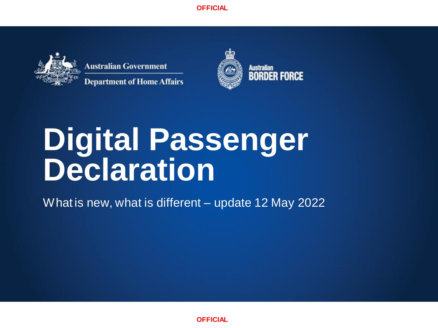**OFFICIAL**



**Australian Government Department of Home Affairs** 



Australian<br>BORDER FORCE

# **Digital Passenger Declaration**

What is new, what is different – update 12 May 2022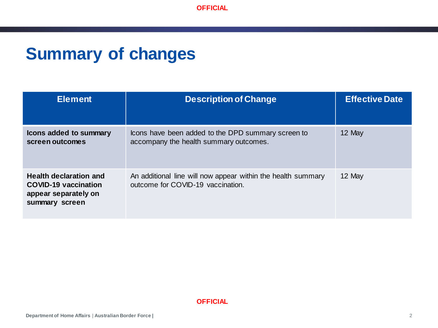## **Summary of changes**

| <b>Element</b>                                                                                         | <b>Description of Change</b>                                                                      | <b>Effective Date</b> |
|--------------------------------------------------------------------------------------------------------|---------------------------------------------------------------------------------------------------|-----------------------|
| Icons added to summary<br>screen outcomes                                                              | Icons have been added to the DPD summary screen to<br>accompany the health summary outcomes.      | 12 May                |
| <b>Health declaration and</b><br><b>COVID-19 vaccination</b><br>appear separately on<br>summary screen | An additional line will now appear within the health summary<br>outcome for COVID-19 vaccination. | 12 May                |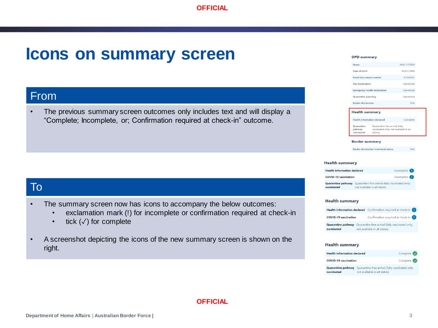## **Icons on summary screen**

## From

• The previous summary screen outcomes only includes text and will display a "Complete; Incomplete, or; Confirmation required at check-in" outcome.

## To

- The summary screen now has icons to accompany the below outcomes:
	- exclamation mark (!) for incomplete or confirmation required at check-in
	- tick  $($  $\checkmark$ ) for complete
- A screenshot depicting the icons of the new summary screen is shown on the right.

#### **DPD summary**

| Name                                | <b>JANE CITIZEN</b> |
|-------------------------------------|---------------------|
| Date of birth                       | 01/01/1999          |
| Travel document number              | P1234567            |
| <b>Trip Declaration</b>             | Submitted           |
| <b>Emergency health declaration</b> | Submitted           |
| Quarantine planning                 | Submitted           |
| <b>Rorder declaration</b>           | N/A                 |
|                                     |                     |

#### **Health summary**

| <b>Health information declared</b> |                                                                                    | Complete |
|------------------------------------|------------------------------------------------------------------------------------|----------|
| Quarantine<br>pathway<br>nominated | Quarantine free arrival (fully<br>vaccinated only; not available in all<br>states) |          |

#### **Border summary**

**Border declaration treatment status**  $N/A$ 

#### **Health summary**

| <b>Health information declared</b> |                                                                                 | Incomplete (1) |
|------------------------------------|---------------------------------------------------------------------------------|----------------|
| <b>COVID-19 vaccination</b>        |                                                                                 | Incomplete (   |
| Quarantine pathway<br>nominated    | Quarantine free arrival (fully vaccinated only:<br>not available in all states) |                |

#### **Health summary**



#### **Health summary**

| <b>Health information declared</b> |                                                                                                           | Complete $\bigcirc$           |
|------------------------------------|-----------------------------------------------------------------------------------------------------------|-------------------------------|
| <b>COVID-19 vaccination</b>        |                                                                                                           | Complete $\blacktriangledown$ |
| nominated                          | <b>Quarantine pathway</b> Quarantine free arrival (fully vaccinated only;<br>not available in all states) |                               |